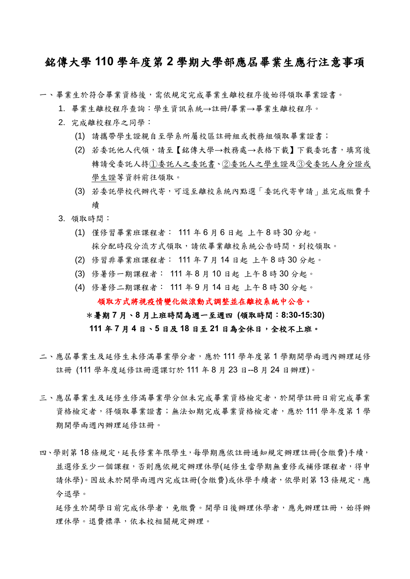## 銘傳大學 **110** 學年度第 **2** 學期大學部應屆畢業生應行注意事項

一、畢業生於符合畢業資格後,需依規定完成畢業生離校程序後始得領取畢業證書。

- 1. 畢業生離校程序查詢:學生資訊系統→註冊/畢業→畢業生離校程序。
- 2. 完成離校程序之同學:
	- (1) 請攜帶學生證親自至學系所屬校區註冊組或教務組領取畢業證書;
	- (2) 若委託他人代領,請至【銘傳大學→教務處→表格下載】下載委託書,填寫後 轉請受委託人持①委託人之委託書、②委託人之學生證及③受委託人身分證或 學生證等資料前往領取。
	- (3) 若委託學校代辦代寄,可逕至離校系統內點選「委託代寄申請」並完成繳費手 續
- 3. 領取時間:
	- (1) 僅修習畢業班課程者: 111 年 6 月 6 日起 上午 8 時 30 分起。 採分配時段分流方式領取,請依畢業離校系統公告時間,到校領取。
	- (2) 修習非畢業班課程者: 111 年 7 月 14 日起 上午 8 時 30 分起。
	- (3) 修暑修一期課程者: 111 年 8 月 10 日起 上午 8 時 30 分起。
	- (4) 修暑修二期課程者: 111 年 9 月 14 日起 上午 8 時 30 分起。

領取方式將視疫情變化做滾動式調整並在離校系統中公告。

## \*暑期 **7** 月、**8** 月上班時間為週一至週四 **(**領取時間:**8:30-15:30)**

## **111** 年 **7** 月 **4** 日、**5** 日及 **18** 日至 **21** 日為全休日,全校不上班。

- 二、應屆畢業生及延修生未修滿畢業學分者,應於 111 學年度第 1 學期開學兩週內辦理延修 註冊 (111 學年度延修註冊選課訂於 111 年 8 月 23 日--8 月 24 日辦理)。
- 三、應屆畢業生及延修滿畢業學分但未完成畢業資格檢定者,於開學註冊日前完成畢業 資格檢定者,得領取畢業證書;無法如期完成畢業資格檢定者,應於 111 學年度第 1 學 期開學兩週內辦理延修註冊。
- 四、學則第 18 條規定,延長修業年限學生,每學期應依註冊通知規定辦理註冊(含繳費)手續, 並選修至少一個課程,否則應依規定辦理休學(延修生當學期無重修或補修課程者,得申 請休學)。因故未於開學兩週內完成註冊(含繳費)或休學手續者,依學則第13條規定,應 令退學。

延修生於開學日前完成休學者,免繳費。開學日後辦理休學者,應先辦理註冊,始得辦 理休學。退費標準,依本校相關規定辦理。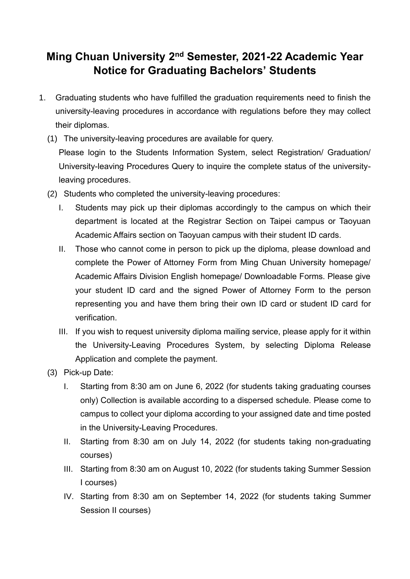## **Ming Chuan University 2nd Semester, 2021-22 Academic Year Notice for Graduating Bachelors' Students**

- 1. Graduating students who have fulfilled the graduation requirements need to finish the university-leaving procedures in accordance with regulations before they may collect their diplomas.
	- (1) The university-leaving procedures are available for query. Please login to the Students Information System, select Registration/ Graduation/ University-leaving Procedures Query to inquire the complete status of the universityleaving procedures.
	- (2) Students who completed the university-leaving procedures:
		- I. Students may pick up their diplomas accordingly to the campus on which their department is located at the Registrar Section on Taipei campus or Taoyuan Academic Affairs section on Taoyuan campus with their student ID cards.
		- II. Those who cannot come in person to pick up the diploma, please download and complete the Power of Attorney Form from Ming Chuan University homepage/ Academic Affairs Division English homepage/ Downloadable Forms. Please give your student ID card and the signed Power of Attorney Form to the person representing you and have them bring their own ID card or student ID card for verification.
		- III. If you wish to request university diploma mailing service, please apply for it within the University-Leaving Procedures System, by selecting Diploma Release Application and complete the payment.
	- (3) Pick-up Date:
		- I. Starting from 8:30 am on June 6, 2022 (for students taking graduating courses only) Collection is available according to a dispersed schedule. Please come to campus to collect your diploma according to your assigned date and time posted in the University-Leaving Procedures.
		- II. Starting from 8:30 am on July 14, 2022 (for students taking non-graduating courses)
		- III. Starting from 8:30 am on August 10, 2022 (for students taking Summer Session I courses)
		- IV. Starting from 8:30 am on September 14, 2022 (for students taking Summer Session II courses)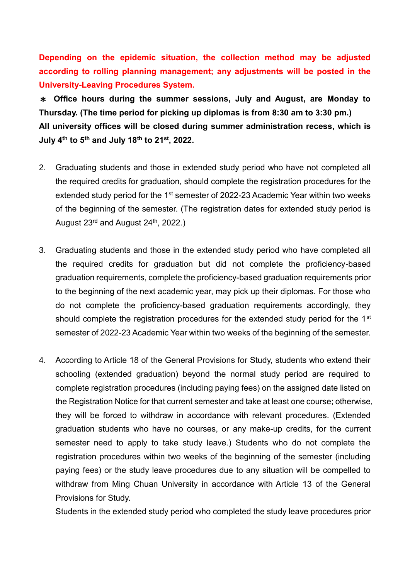**Depending on the epidemic situation, the collection method may be adjusted according to rolling planning management; any adjustments will be posted in the University-Leaving Procedures System.**

\* **Office hours during the summer sessions, July and August, are Monday to Thursday. (The time period for picking up diplomas is from 8:30 am to 3:30 pm.) All university offices will be closed during summer administration recess, which is July 4th to 5th and July 18th to 21st, 2022.**

- 2. Graduating students and those in extended study period who have not completed all the required credits for graduation, should complete the registration procedures for the extended study period for the 1<sup>st</sup> semester of 2022-23 Academic Year within two weeks of the beginning of the semester. (The registration dates for extended study period is August 23<sup>rd</sup> and August 24<sup>th</sup>, 2022.)
- 3. Graduating students and those in the extended study period who have completed all the required credits for graduation but did not complete the proficiency-based graduation requirements, complete the proficiency-based graduation requirements prior to the beginning of the next academic year, may pick up their diplomas. For those who do not complete the proficiency-based graduation requirements accordingly, they should complete the registration procedures for the extended study period for the 1<sup>st</sup> semester of 2022-23 Academic Year within two weeks of the beginning of the semester.
- 4. According to Article 18 of the General Provisions for Study, students who extend their schooling (extended graduation) beyond the normal study period are required to complete registration procedures (including paying fees) on the assigned date listed on the Registration Notice for that current semester and take at least one course; otherwise, they will be forced to withdraw in accordance with relevant procedures. (Extended graduation students who have no courses, or any make-up credits, for the current semester need to apply to take study leave.) Students who do not complete the registration procedures within two weeks of the beginning of the semester (including paying fees) or the study leave procedures due to any situation will be compelled to withdraw from Ming Chuan University in accordance with Article 13 of the General Provisions for Study.

Students in the extended study period who completed the study leave procedures prior